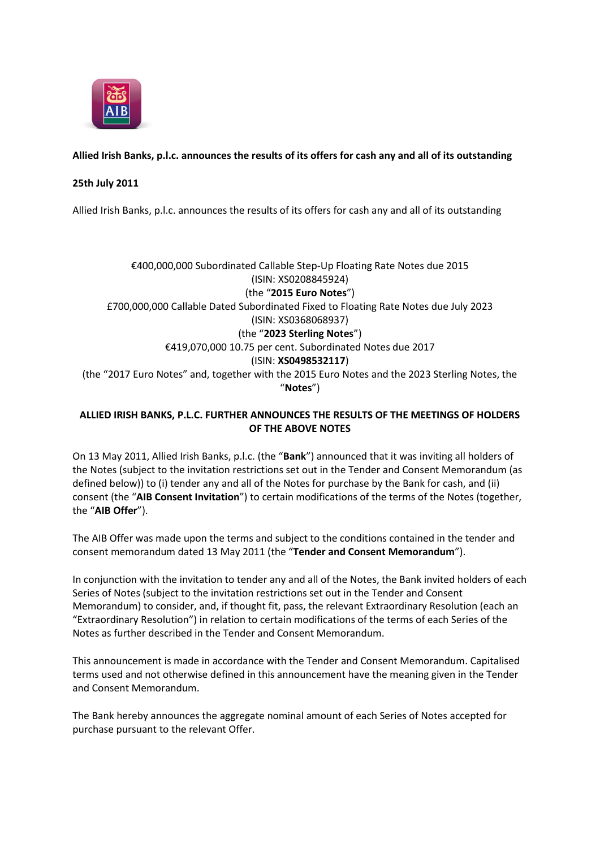

# **Allied Irish Banks, p.l.c. announces the results of its offers for cash any and all of its outstanding**

## **25th July 2011**

Allied Irish Banks, p.l.c. announces the results of its offers for cash any and all of its outstanding

€400,000,000 Subordinated Callable Step-Up Floating Rate Notes due 2015 (ISIN: XS0208845924) (the "**2015 Euro Notes**") £700,000,000 Callable Dated Subordinated Fixed to Floating Rate Notes due July 2023 (ISIN: XS0368068937) (the "**2023 Sterling Notes**") €419,070,000 10.75 per cent. Subordinated Notes due 2017 (ISIN: **XS0498532117**) (the "2017 Euro Notes" and, together with the 2015 Euro Notes and the 2023 Sterling Notes, the "**Notes**")

## **ALLIED IRISH BANKS, P.L.C. FURTHER ANNOUNCES THE RESULTS OF THE MEETINGS OF HOLDERS OF THE ABOVE NOTES**

On 13 May 2011, Allied Irish Banks, p.l.c. (the "**Bank**") announced that it was inviting all holders of the Notes (subject to the invitation restrictions set out in the Tender and Consent Memorandum (as defined below)) to (i) tender any and all of the Notes for purchase by the Bank for cash, and (ii) consent (the "**AIB Consent Invitation**") to certain modifications of the terms of the Notes (together, the "**AIB Offer**").

The AIB Offer was made upon the terms and subject to the conditions contained in the tender and consent memorandum dated 13 May 2011 (the "**Tender and Consent Memorandum**").

In conjunction with the invitation to tender any and all of the Notes, the Bank invited holders of each Series of Notes (subject to the invitation restrictions set out in the Tender and Consent Memorandum) to consider, and, if thought fit, pass, the relevant Extraordinary Resolution (each an "Extraordinary Resolution") in relation to certain modifications of the terms of each Series of the Notes as further described in the Tender and Consent Memorandum.

This announcement is made in accordance with the Tender and Consent Memorandum. Capitalised terms used and not otherwise defined in this announcement have the meaning given in the Tender and Consent Memorandum.

The Bank hereby announces the aggregate nominal amount of each Series of Notes accepted for purchase pursuant to the relevant Offer.